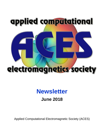

# **Newsletter June 2018**

Applied Computational Electromagnetic Society (ACES)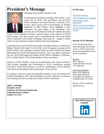# <span id="page-1-0"></span>**President's Message**



Greetings from Golden Colorado, USA.

As promised in my March message, 2018 will be a very active year for ACES. This past March, the first 2018 ACES conference was held in Denver, Colorado, USA. It was a great success and its proceedings are already published on IEEE Xplore. Some highlights of the conference are given below in the newsletter. This includes the ACES Board of Director's (BoD) elevation

of four ACES members to Fellow, and the names of the winners of ACES 2018 awards. Later this summer, also as described below, the second 2018 ACES conference will be held in Beijing, China (July 29 – August 1, 2018) where we are promised excellent technical and social programs.

Looking forward, ACES 2019 will be held at the Hilton Miami, in downtown Miami, Florida, USA (April 14-18, 2019). A call for papers is posted on the ACES website. The conference General Chairs are John Volakis and Osama Mohammed of Florida International University. Also, I am glad to announce that the ACES BoD approved holding ACES 2020 in Monterey, California, USA. Further details will be forthcoming in future newsletters.

Finally, as ACES member, I urge you to participate in the society activities. This includes attending and contributing to ACES conferences, getting involved in ACES BoD elections, as well as contributing to ACES Journal, and actively participating in the journal paper review process.

In closing, I wish you a good and enjoyable summer, if you are living in the northern hemisphere, and a safe and productive winter, otherwise. As always, I am looking forward to seeing you at future ACES conferences.

**Abd A. Arkadan,** *President-ACES Professor of Electrical Engineering Colorado School of Mines Golden CO, USA*

#### **In This Issue**

[President's message](#page-1-0) [ACES Conference in Colorado](#page-2-0) [New Elevated ACES](#page-3-0)  **[FELLOWS](#page-3-0)** [ACES Conference in Beijing](#page-3-1) [ACES Journal and Express](#page-3-2)  **[Journal](#page-3-2)** 

#### **Become ACES Member**

ACES membership offers many advantages that include access to ACES Journal and discounted registration fees for ACES conferences.

#### Member:

Basic: \$40/year Student/Retired: \$25/year Life: \$400/year

Institutional Member: Basic (US): \$360/year Basic (Intl): \$540/year Expanded (US): \$535/year Expanded (Intl): \$715/year

Become ACES member by signing up [here.](http://aces-society.org/mem.php)

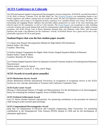# <span id="page-2-0"></span>**ACES Conference in Colorado**

The 2018 International Applied Computational Electromagnetics Society Symposium, ACES2018, was held from March 25-29, 2018, in Denver, Colorado, USA, the *Mile High City*. The [Technical Program](http://aces-society.org/conference/Denver_2018/ACES_Denver2018_Program.pdf) was outstanding, thanks to our session organizers and authors coming from all around the world. We had 234 registered conference attendees, 264 excellent papers, and as many as 55 organized sessions, running in 4 or 5 parallel sessions over 4 days. We had 6 very entertaining and engaging Plenary Speakers that provided unique perspectives on some of the most interesting and relevant topics for the community, as well as 5 free tutorials. The [Social Program](http://aces-society.org/conference/Denver_2018/conf_socialactivities.php) was exceptional as well, including welcome reception and awards banquet both with live entertainment, meals during all conference days, nightly evening receptions, and ACES Private Tour of Rocky Mountain National Park. Our Platinum, Gold, Silver, and Associate Sponsors also made a big difference for the conference. Overall, ACES2018 Denver was a great success and a truly memorable experience for all its participants.

#### **Students/Papers that won the best student paper awards:**

1) A Space-time Domain Decomposition Method for High-fidelity EM Simulations *Student Author: Shu Wang* Coauthor: Zhen Peng

2) Surface Integral Computation for Higher Order Surface Integral Equation Method of Moments *Student Author: Sanja B. Manic* Coauthor: Branislav M. Notaros

3) A Volume Integral Equation Solver for Quantum Corrected Transient Analysis of Scattering from Plasmonic **Nanostructures** *Student Author: Sadeed B. Sayeed* Coauthors: Ismail E. Uysal, H. A. Ulku, and H. Bagci

#### **ACES Awards (4 awards given annually)**

#### **ACES Meritorious Service Award**

*Osama Mohammed* (Florida International University): In recognition of exceptional service to the ACES Society for over a decade, particularly as Treasurer and Conference Committee Chair.

#### **ACES Early Career Award**

*Shisong Li* (International Bureau of Weight and Measurements): For the development of an electromagnetic theory for evaluating the nonlinear magnetic errors in Kibble balances.

#### **ACES Technical Achievement Award**

*Larry K. Warne* (Sandia National Laboratories): For pioneering contribution to the procedure for electrical cable testing by pulse-arrested spark discharge.

#### **ACES Computational Electromagnetics Award**

*Qing Huo Liu* (Department of Electrical and Computer Engineering, Duke University): For pioneering contributions to the Pseudospectral Time Domain (PSTD) method in CEM and for the development of subsequent applications.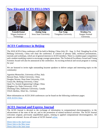# <span id="page-3-0"></span>**New Elevated ACES FELLOWS**



**Yasushi Kanai** Niigata Institute of Technology



**Jiming Song** Iowa State University



**Fan Yang** Tsingshua University



**Wenhua Yu** Jiangsu Normal University

# <span id="page-3-1"></span>**ACES Conference in Beijing**

The 2018 ACES-China conference will be held in Beijing, China (July 29 - Aug. 1). Prof. Dongling Su of the Beihang University, China will chair the conference. It consists of plenary talks, technical presentations, tutorials and workshops, which are of general interests to ACES members. There is a student paper competition and a student modeling contest to encourage younger generations. The Technical Excellence Award and Young Scientist Award will also be announced at the conference. An exciting technical and social program is waiting for you!

We are honored to invite eight outstanding keynote speakers to deliver unique and interesting topics to the community:

Agostino Monorchio, University of Pisa, Italy Baoyan Duan, Xidian University, China Douglas Werner, Penn State University, USA Guoyu He, Beihang University, China Quan Yu, System Engineering College, China Qinghuo Liu, Duke University, USA Zhizhang Chen, Dalhousie University, Canada Ulrich Jakobus, Altair Inc., Germany

More information on ACES 2018 conferences can be found on the following conference pages: [2018 ACES-China](http://aces-society.org/conference/China_2018/)

## <span id="page-3-2"></span>**ACES Journal and Express Journal**

The ACES Journal is devoted to the exchange of information in computational electromagnetics, to the advancement of the state of the art, and to the promotion of related technical activities. The ACES Journal welcomes original, previously unpublished papers, relating to applied computational electromagnetics. All papers are refereed. Access all issues of ACES Journal [online.](http://www.aces-society.org/journal.php)

[Direct link to the April issue](http://aces-society.org/search.php?vol=33&no=4&type=7) [Direct link to the May issue](http://www.aces-society.org/search.php?vol=33&no=5&type=2) [Direct link to the June](http://aces-society.org/search.php?vol=33&no=6&type=2) issue